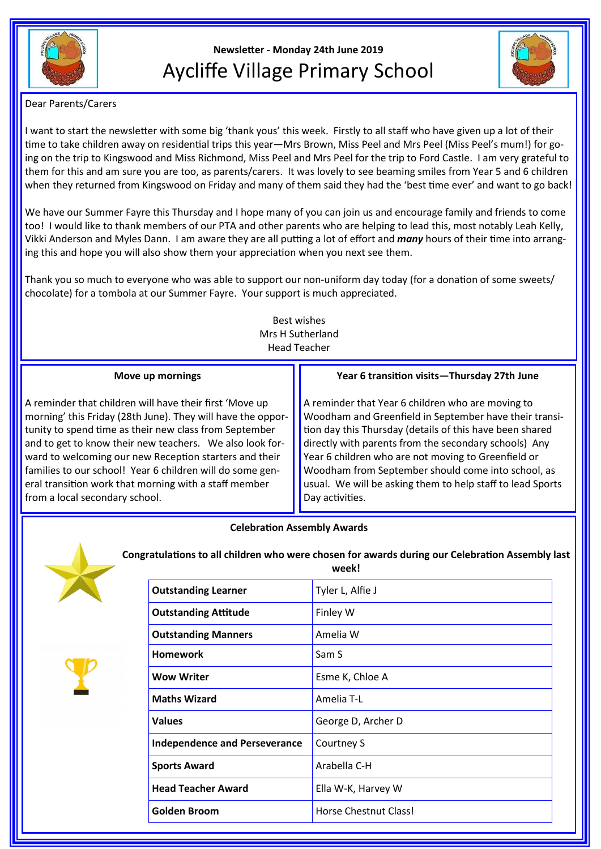

# **Newsletter - Monday 24th June 2019** Aycliffe Village Primary School



Dear Parents/Carers

I want to start the newsletter with some big 'thank yous' this week. Firstly to all staff who have given up a lot of their time to take children away on residential trips this year—Mrs Brown, Miss Peel and Mrs Peel (Miss Peel's mum!) for going on the trip to Kingswood and Miss Richmond, Miss Peel and Mrs Peel for the trip to Ford Castle. I am very grateful to them for this and am sure you are too, as parents/carers. It was lovely to see beaming smiles from Year 5 and 6 children when they returned from Kingswood on Friday and many of them said they had the 'best time ever' and want to go back!

We have our Summer Fayre this Thursday and I hope many of you can join us and encourage family and friends to come too! I would like to thank members of our PTA and other parents who are helping to lead this, most notably Leah Kelly, Vikki Anderson and Myles Dann. I am aware they are all putting a lot of effort and *many* hours of their time into arranging this and hope you will also show them your appreciation when you next see them.

Thank you so much to everyone who was able to support our non-uniform day today (for a donation of some sweets/ chocolate) for a tombola at our Summer Fayre. Your support is much appreciated.

> Best wishes Mrs H Sutherland Head Teacher

### **Move up mornings**

A reminder that children will have their first 'Move up morning' this Friday (28th June). They will have the opportunity to spend time as their new class from September and to get to know their new teachers. We also look forward to welcoming our new Reception starters and their families to our school! Year 6 children will do some general transition work that morning with a staff member from a local secondary school.

## **Year 6 transition visits—Thursday 27th June**

A reminder that Year 6 children who are moving to Woodham and Greenfield in September have their transition day this Thursday (details of this have been shared directly with parents from the secondary schools) Any Year 6 children who are not moving to Greenfield or Woodham from September should come into school, as usual. We will be asking them to help staff to lead Sports Day activities.

## **Celebration Assembly Awards**



**Congratulations to all children who were chosen for awards during our Celebration Assembly last week!**

| <b>Outstanding Learner</b>           | Tyler L, Alfie J      |
|--------------------------------------|-----------------------|
| <b>Outstanding Attitude</b>          | Finley W              |
| <b>Outstanding Manners</b>           | Amelia W              |
| <b>Homework</b>                      | Sam S                 |
| <b>Wow Writer</b>                    | Esme K, Chloe A       |
| <b>Maths Wizard</b>                  | Amelia T-L            |
| <b>Values</b>                        | George D, Archer D    |
| <b>Independence and Perseverance</b> | Courtney S            |
| <b>Sports Award</b>                  | Arabella C-H          |
| <b>Head Teacher Award</b>            | Ella W-K, Harvey W    |
| <b>Golden Broom</b>                  | Horse Chestnut Class! |
|                                      |                       |